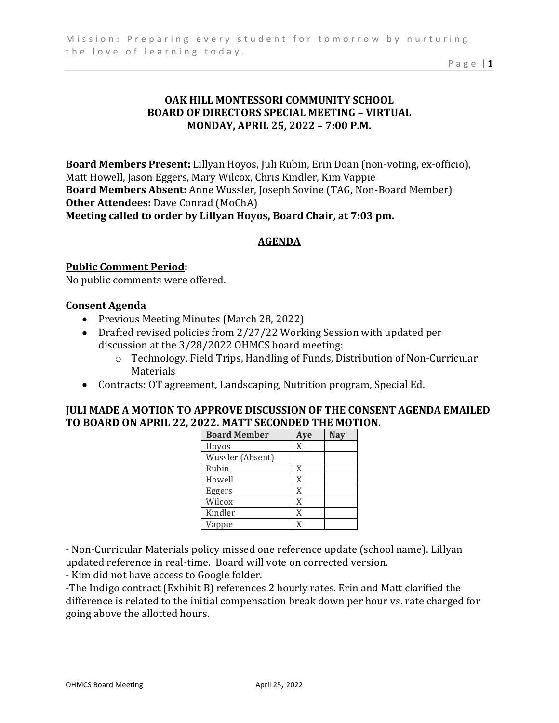Page | **1** 

## **OAK HILL MONTESSORI COMMUNITY SCHOOL BOARD OF DIRECTORS SPECIAL MEETING – VIRTUAL MONDAY, APRIL 25, 2022 – 7:00 P.M.**

**Board Members Present:** Lillyan Hoyos, Juli Rubin, Erin Doan (non-voting, ex-officio), Matt Howell, Jason Eggers, Mary Wilcox, Chris Kindler, Kim Vappie **Board Members Absent:** Anne Wussler, Joseph Sovine (TAG, Non-Board Member) **Other Attendees:** Dave Conrad (MoChA) **Meeting called to order by Lillyan Hoyos, Board Chair, at 7:03 pm.** 

# **AGENDA**

## **Public Comment Period:**

No public comments were offered.

#### **Consent Agenda**

- Previous Meeting Minutes (March 28, 2022)
- Drafted revised policies from 2/27/22 Working Session with updated per discussion at the 3/28/2022 OHMCS board meeting:
	- o Technology. Field Trips, Handling of Funds, Distribution of Non-Curricular Materials
- Contracts: OT agreement, Landscaping, Nutrition program, Special Ed.

## **JULI MADE A MOTION TO APPROVE DISCUSSION OF THE CONSENT AGENDA EMAILED TO BOARD ON APRIL 22, 2022. MATT SECONDED THE MOTION.**

| <b>Board Member</b> | Aye | <b>Nav</b> |
|---------------------|-----|------------|
| Hoyos               | X   |            |
| Wussler (Absent)    |     |            |
| Rubin               | X   |            |
| Howell              | X   |            |
| Eggers              | X   |            |
| Wilcox              | X   |            |
| Kindler             | X   |            |
| Vappie              | X   |            |

- Non-Curricular Materials policy missed one reference update (school name). Lillyan updated reference in real-time. Board will vote on corrected version.

- Kim did not have access to Google folder.

-The Indigo contract (Exhibit B) references 2 hourly rates. Erin and Matt clarified the difference is related to the initial compensation break down per hour vs. rate charged for going above the allotted hours.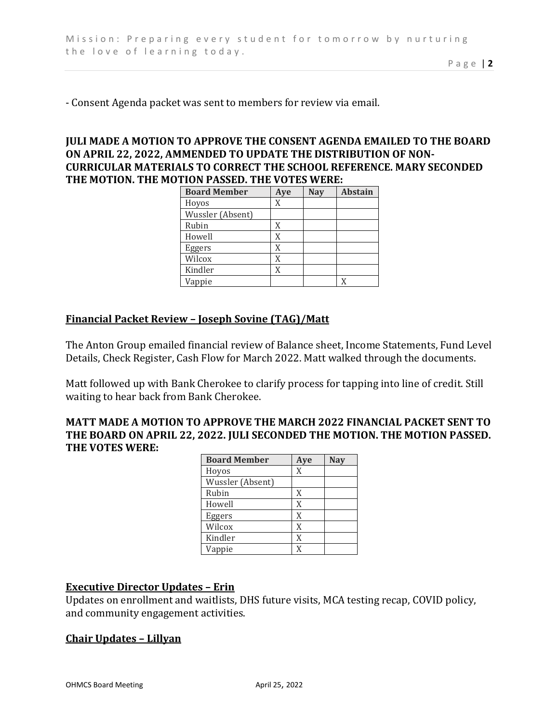- Consent Agenda packet was sent to members for review via email.

## **JULI MADE A MOTION TO APPROVE THE CONSENT AGENDA EMAILED TO THE BOARD ON APRIL 22, 2022, AMMENDED TO UPDATE THE DISTRIBUTION OF NON-CURRICULAR MATERIALS TO CORRECT THE SCHOOL REFERENCE. MARY SECONDED THE MOTION. THE MOTION PASSED. THE VOTES WERE:**

| <b>Board Member</b> | Aye | <b>Nay</b> | <b>Abstain</b> |
|---------------------|-----|------------|----------------|
| Hoyos               | X   |            |                |
| Wussler (Absent)    |     |            |                |
| Rubin               | X   |            |                |
| Howell              | X   |            |                |
| Eggers              | X   |            |                |
| Wilcox              | X   |            |                |
| Kindler             | X   |            |                |
| Vappie              |     |            |                |

#### **Financial Packet Review – Joseph Sovine (TAG)/Matt**

The Anton Group emailed financial review of Balance sheet, Income Statements, Fund Level Details, Check Register, Cash Flow for March 2022. Matt walked through the documents.

Matt followed up with Bank Cherokee to clarify process for tapping into line of credit. Still waiting to hear back from Bank Cherokee.

#### **MATT MADE A MOTION TO APPROVE THE MARCH 2022 FINANCIAL PACKET SENT TO THE BOARD ON APRIL 22, 2022. JULI SECONDED THE MOTION. THE MOTION PASSED. THE VOTES WERE:**

| <b>Board Member</b> | Aye | <b>Nay</b> |
|---------------------|-----|------------|
| Hoyos               | X   |            |
| Wussler (Absent)    |     |            |
| Rubin               | X   |            |
| Howell              | X   |            |
| Eggers              | X   |            |
| Wilcox              | X   |            |
| Kindler             | X   |            |
| Vappie              | X   |            |

### **Executive Director Updates – Erin**

Updates on enrollment and waitlists, DHS future visits, MCA testing recap, COVID policy, and community engagement activities.

#### **Chair Updates – Lillyan**